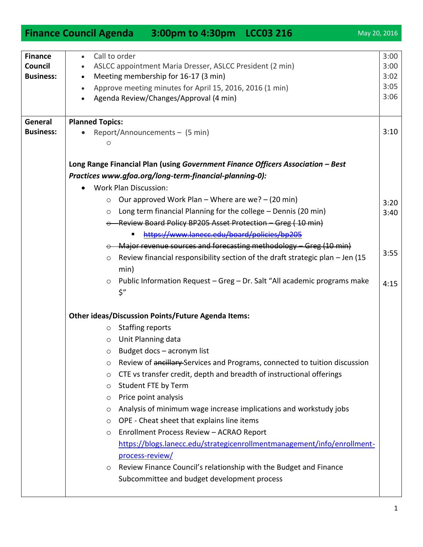|                  | <b>Finance Council Agenda</b>                                                                                                                                              |                         | 3:00pm to 4:30pm LCC03 216                                |  |                                                                               |      | May 20, 2016 |
|------------------|----------------------------------------------------------------------------------------------------------------------------------------------------------------------------|-------------------------|-----------------------------------------------------------|--|-------------------------------------------------------------------------------|------|--------------|
|                  |                                                                                                                                                                            |                         |                                                           |  |                                                                               |      |              |
| <b>Finance</b>   | Call to order<br>$\bullet$                                                                                                                                                 |                         |                                                           |  |                                                                               |      | 3:00         |
| Council          | ASLCC appointment Maria Dresser, ASLCC President (2 min)                                                                                                                   |                         |                                                           |  |                                                                               |      | 3:00         |
| <b>Business:</b> | Meeting membership for 16-17 (3 min)                                                                                                                                       |                         |                                                           |  |                                                                               |      | 3:02<br>3:05 |
|                  | Approve meeting minutes for April 15, 2016, 2016 (1 min)<br>Agenda Review/Changes/Approval (4 min)                                                                         |                         |                                                           |  |                                                                               | 3:06 |              |
|                  |                                                                                                                                                                            |                         |                                                           |  |                                                                               |      |              |
| General          | <b>Planned Topics:</b>                                                                                                                                                     |                         |                                                           |  |                                                                               |      |              |
| <b>Business:</b> |                                                                                                                                                                            |                         |                                                           |  |                                                                               |      | 3:10         |
|                  | Report/Announcements - (5 min)<br>O                                                                                                                                        |                         |                                                           |  |                                                                               |      |              |
|                  |                                                                                                                                                                            |                         |                                                           |  |                                                                               |      |              |
|                  | Long Range Financial Plan (using Government Finance Officers Association - Best<br>Practices www.gfoa.org/long-term-financial-planning-0):<br><b>Work Plan Discussion:</b> |                         |                                                           |  |                                                                               |      |              |
|                  |                                                                                                                                                                            |                         |                                                           |  |                                                                               |      |              |
|                  |                                                                                                                                                                            |                         |                                                           |  |                                                                               |      |              |
|                  | $\circ$                                                                                                                                                                    |                         | Our approved Work Plan – Where are we? – (20 min)         |  |                                                                               |      | 3:20         |
|                  | $\circ$                                                                                                                                                                    |                         |                                                           |  | Long term financial Planning for the college - Dennis (20 min)                |      | 3:40         |
|                  |                                                                                                                                                                            |                         |                                                           |  | $\circ$ Review Board Policy BP205 Asset Protection - Greg (10 min)            |      |              |
|                  |                                                                                                                                                                            |                         | https://www.lanecc.edu/board/policies/bp205               |  |                                                                               |      |              |
|                  |                                                                                                                                                                            |                         |                                                           |  | $\circ$ Major revenue sources and forecasting methodology – Greg (10 min)     |      |              |
|                  | $\circ$                                                                                                                                                                    |                         |                                                           |  | Review financial responsibility section of the draft strategic plan - Jen (15 |      | 3:55         |
|                  |                                                                                                                                                                            | min)                    |                                                           |  |                                                                               |      |              |
|                  | $\circ$                                                                                                                                                                    |                         |                                                           |  | Public Information Request - Greg - Dr. Salt "All academic programs make      |      | 4:15         |
|                  |                                                                                                                                                                            | \$"                     |                                                           |  |                                                                               |      |              |
|                  |                                                                                                                                                                            |                         |                                                           |  |                                                                               |      |              |
|                  |                                                                                                                                                                            |                         | <b>Other ideas/Discussion Points/Future Agenda Items:</b> |  |                                                                               |      |              |
|                  | O                                                                                                                                                                          | <b>Staffing reports</b> |                                                           |  |                                                                               |      |              |
|                  | O                                                                                                                                                                          | Unit Planning data      |                                                           |  |                                                                               |      |              |
|                  | O                                                                                                                                                                          |                         | Budget docs - acronym list                                |  |                                                                               |      |              |
|                  | O                                                                                                                                                                          |                         |                                                           |  | Review of ancillary-Services and Programs, connected to tuition discussion    |      |              |
|                  | $\circ$                                                                                                                                                                    |                         |                                                           |  | CTE vs transfer credit, depth and breadth of instructional offerings          |      |              |
|                  | $\circ$                                                                                                                                                                    | Student FTE by Term     |                                                           |  |                                                                               |      |              |
|                  | O                                                                                                                                                                          | Price point analysis    |                                                           |  |                                                                               |      |              |
|                  | O                                                                                                                                                                          |                         |                                                           |  | Analysis of minimum wage increase implications and workstudy jobs             |      |              |
|                  | $\circ$                                                                                                                                                                    |                         | OPE - Cheat sheet that explains line items                |  |                                                                               |      |              |
|                  | $\circ$                                                                                                                                                                    |                         | Enrollment Process Review - ACRAO Report                  |  |                                                                               |      |              |
|                  |                                                                                                                                                                            |                         |                                                           |  | https://blogs.lanecc.edu/strategicenrollmentmanagement/info/enrollment-       |      |              |
|                  |                                                                                                                                                                            | process-review/         |                                                           |  |                                                                               |      |              |
|                  | $\circ$                                                                                                                                                                    |                         |                                                           |  | Review Finance Council's relationship with the Budget and Finance             |      |              |
|                  |                                                                                                                                                                            |                         | Subcommittee and budget development process               |  |                                                                               |      |              |
|                  |                                                                                                                                                                            |                         |                                                           |  |                                                                               |      |              |